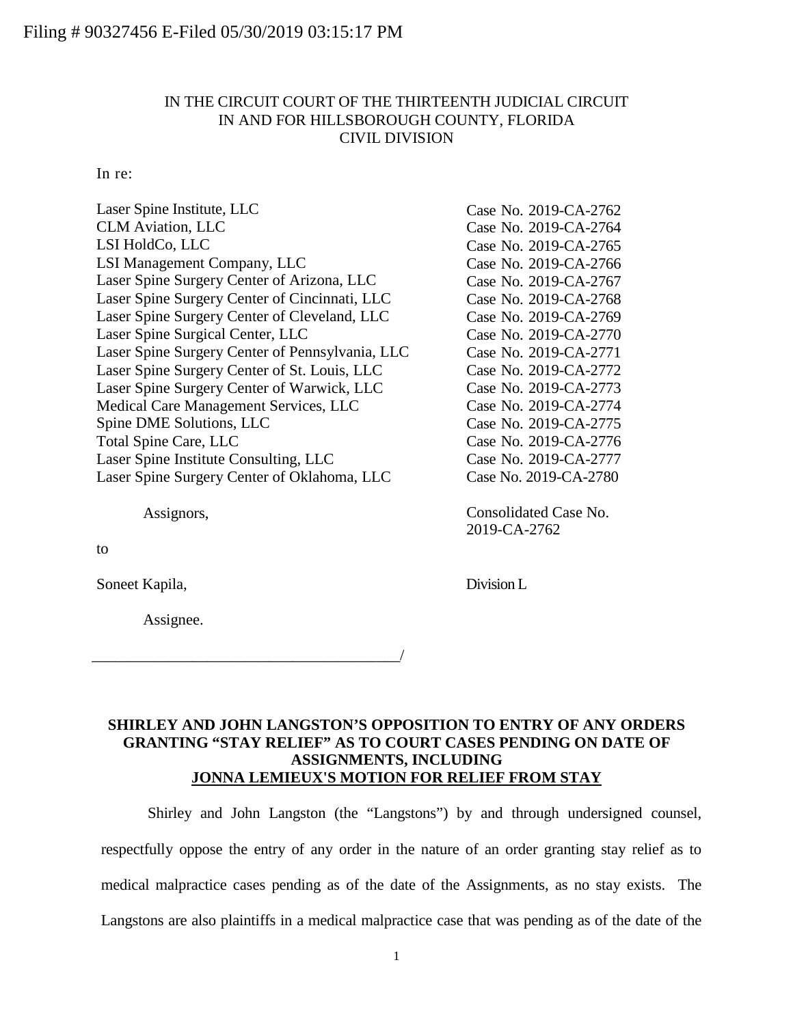## IN THE CIRCUIT COURT OF THE THIRTEENTH JUDICIAL CIRCUIT IN AND FOR HILLSBOROUGH COUNTY, FLORIDA CIVIL DIVISION

## In re:

| Laser Spine Institute, LLC                      | Case No. 2019-CA-2762 |
|-------------------------------------------------|-----------------------|
| <b>CLM</b> Aviation, LLC                        | Case No. 2019-CA-2764 |
| LSI HoldCo, LLC                                 | Case No. 2019-CA-2765 |
| LSI Management Company, LLC                     | Case No. 2019-CA-2766 |
| Laser Spine Surgery Center of Arizona, LLC      | Case No. 2019-CA-2767 |
| Laser Spine Surgery Center of Cincinnati, LLC   | Case No. 2019-CA-2768 |
| Laser Spine Surgery Center of Cleveland, LLC    | Case No. 2019-CA-2769 |
| Laser Spine Surgical Center, LLC                | Case No. 2019-CA-2770 |
| Laser Spine Surgery Center of Pennsylvania, LLC | Case No. 2019-CA-2771 |
| Laser Spine Surgery Center of St. Louis, LLC    | Case No. 2019-CA-2772 |
| Laser Spine Surgery Center of Warwick, LLC      | Case No. 2019-CA-2773 |
| Medical Care Management Services, LLC           | Case No. 2019-CA-2774 |
| Spine DME Solutions, LLC                        | Case No. 2019-CA-2775 |
| Total Spine Care, LLC                           | Case No. 2019-CA-2776 |
| Laser Spine Institute Consulting, LLC           | Case No. 2019-CA-2777 |
| Laser Spine Surgery Center of Oklahoma, LLC     | Case No. 2019-CA-2780 |
|                                                 |                       |

Assignors,

to

Soneet Kapila,

Assignee.

\_\_\_\_\_\_\_\_\_\_\_\_\_\_\_\_\_\_\_\_\_\_\_\_\_\_\_\_\_\_\_\_\_\_\_\_\_\_\_\_/

Division L

Consolidated Case No.

2019-CA-2762

## **SHIRLEY AND JOHN LANGSTON'S OPPOSITION TO ENTRY OF ANY ORDERS GRANTING "STAY RELIEF" AS TO COURT CASES PENDING ON DATE OF ASSIGNMENTS, INCLUDING JONNA LEMIEUX'S MOTION FOR RELIEF FROM STAY**

Shirley and John Langston (the "Langstons") by and through undersigned counsel, respectfully oppose the entry of any order in the nature of an order granting stay relief as to medical malpractice cases pending as of the date of the Assignments, as no stay exists. The Langstons are also plaintiffs in a medical malpractice case that was pending as of the date of the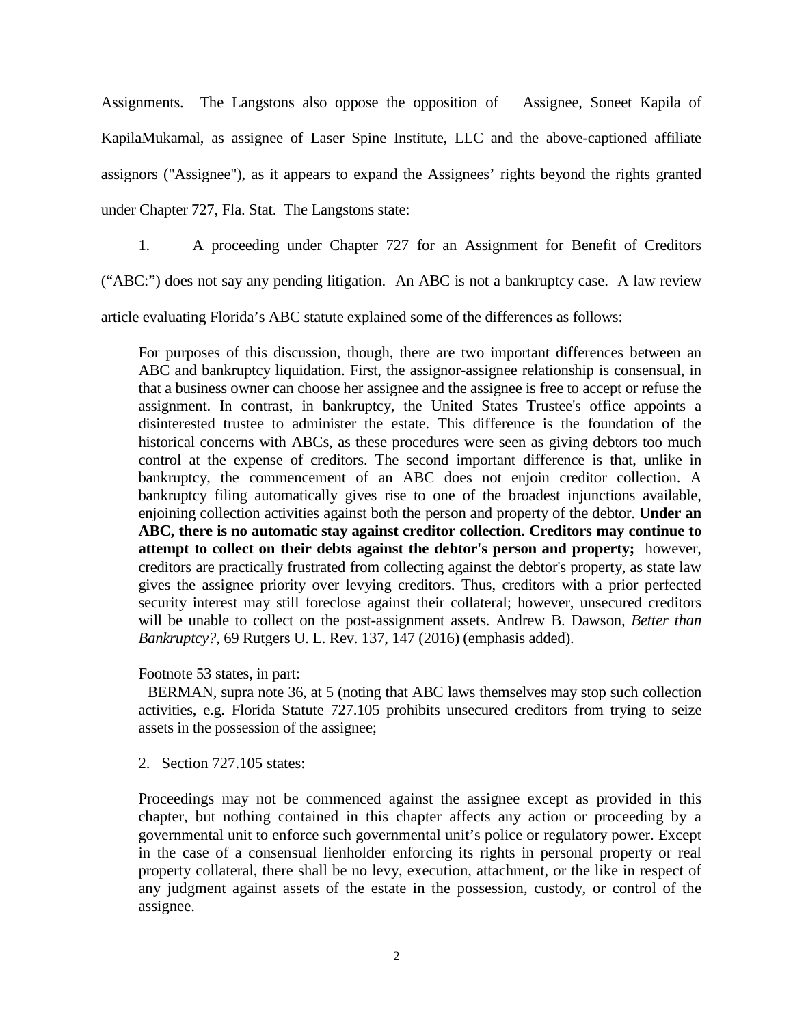Assignments. The Langstons also oppose the opposition of Assignee, Soneet Kapila of KapilaMukamal, as assignee of Laser Spine Institute, LLC and the above-captioned affiliate assignors ("Assignee"), as it appears to expand the Assignees' rights beyond the rights granted under Chapter 727, Fla. Stat. The Langstons state:

1. A proceeding under Chapter 727 for an Assignment for Benefit of Creditors

("ABC:") does not say any pending litigation. An ABC is not a bankruptcy case. A law review

article evaluating Florida's ABC statute explained some of the differences as follows:

For purposes of this discussion, though, there are two important differences between an ABC and bankruptcy liquidation. First, the assignor-assignee relationship is consensual, in that a business owner can choose her assignee and the assignee is free to accept or refuse the assignment. In contrast, in bankruptcy, the United States Trustee's office appoints a disinterested trustee to administer the estate. This difference is the foundation of the historical concerns with ABCs, as these procedures were seen as giving debtors too much control at the expense of creditors. The second important difference is that, unlike in bankruptcy, the commencement of an ABC does not enjoin creditor collection. A bankruptcy filing automatically gives rise to one of the broadest injunctions available, enjoining collection activities against both the person and property of the debtor. **Under an ABC, there is no automatic stay against creditor collection. Creditors may continue to attempt to collect on their debts against the debtor's person and property;** however, creditors are practically frustrated from collecting against the debtor's property, as state law gives the assignee priority over levying creditors. Thus, creditors with a prior perfected security interest may still foreclose against their collateral; however, unsecured creditors will be unable to collect on the post-assignment assets. Andrew B. Dawson*, Better than Bankruptcy?,* 69 Rutgers U. L. Rev. 137, 147 (2016) (emphasis added).

Footnote 53 states, in part:

BERMAN, supra note 36, at 5 (noting that ABC laws themselves may stop such collection activities, e.g. Florida Statute 727.105 prohibits unsecured creditors from trying to seize assets in the possession of the assignee;

2. Section 727.105 states:

Proceedings may not be commenced against the assignee except as provided in this chapter, but nothing contained in this chapter affects any action or proceeding by a governmental unit to enforce such governmental unit's police or regulatory power. Except in the case of a consensual lienholder enforcing its rights in personal property or real property collateral, there shall be no levy, execution, attachment, or the like in respect of any judgment against assets of the estate in the possession, custody, or control of the assignee.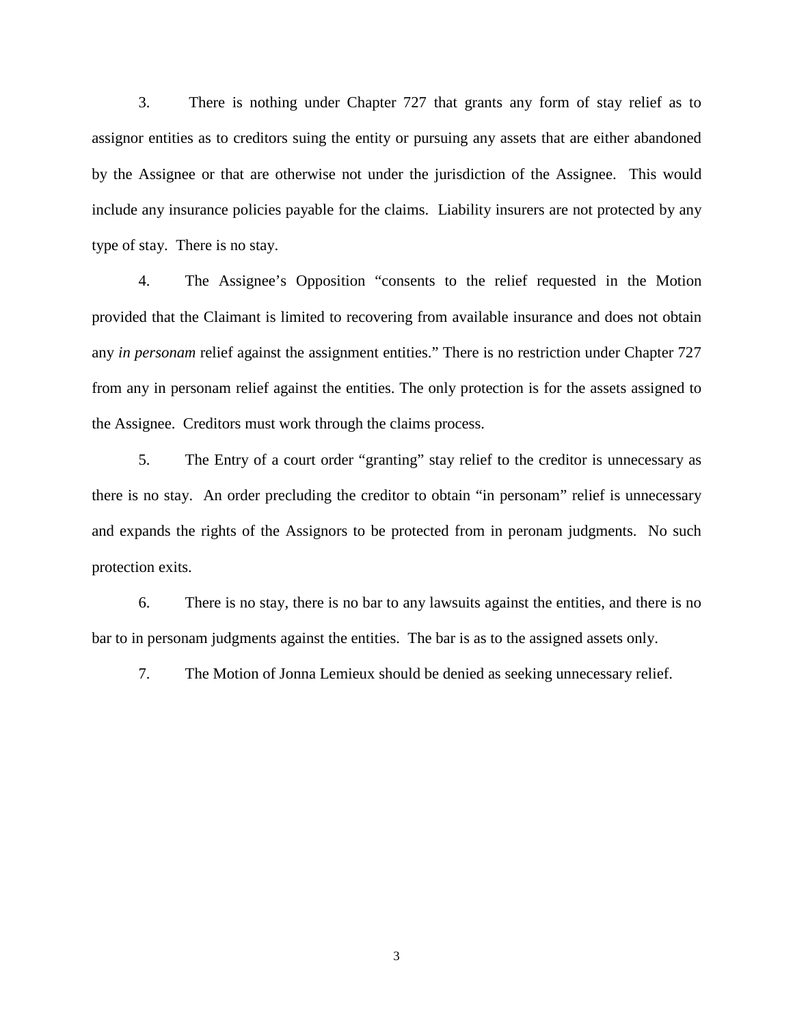3. There is nothing under Chapter 727 that grants any form of stay relief as to assignor entities as to creditors suing the entity or pursuing any assets that are either abandoned by the Assignee or that are otherwise not under the jurisdiction of the Assignee. This would include any insurance policies payable for the claims. Liability insurers are not protected by any type of stay. There is no stay.

4. The Assignee's Opposition "consents to the relief requested in the Motion provided that the Claimant is limited to recovering from available insurance and does not obtain any *in personam* relief against the assignment entities." There is no restriction under Chapter 727 from any in personam relief against the entities. The only protection is for the assets assigned to the Assignee. Creditors must work through the claims process.

5. The Entry of a court order "granting" stay relief to the creditor is unnecessary as there is no stay. An order precluding the creditor to obtain "in personam" relief is unnecessary and expands the rights of the Assignors to be protected from in peronam judgments. No such protection exits.

6. There is no stay, there is no bar to any lawsuits against the entities, and there is no bar to in personam judgments against the entities. The bar is as to the assigned assets only.

7. The Motion of Jonna Lemieux should be denied as seeking unnecessary relief.

3